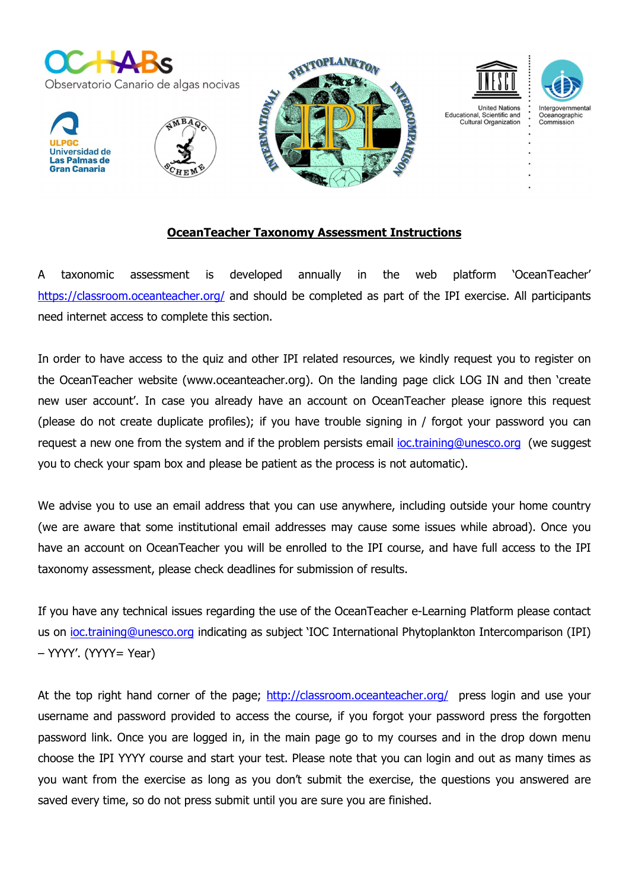

## OceanTeacher Taxonomy Assessment Instructions

A taxonomic assessment is developed annually in the web platform 'OceanTeacher' https://classroom.oceanteacher.org/ and should be completed as part of the IPI exercise. All participants need internet access to complete this section.

In order to have access to the quiz and other IPI related resources, we kindly request you to register on the OceanTeacher website (www.oceanteacher.org). On the landing page click LOG IN and then 'create new user account'. In case you already have an account on OceanTeacher please ignore this request (please do not create duplicate profiles); if you have trouble signing in / forgot your password you can request a new one from the system and if the problem persists email *joc.training@unesco.org* (we suggest you to check your spam box and please be patient as the process is not automatic).

We advise you to use an email address that you can use anywhere, including outside your home country (we are aware that some institutional email addresses may cause some issues while abroad). Once you have an account on OceanTeacher you will be enrolled to the IPI course, and have full access to the IPI taxonomy assessment, please check deadlines for submission of results.

If you have any technical issues regarding the use of the OceanTeacher e-Learning Platform please contact us on ioc.training@unesco.org indicating as subject 'IOC International Phytoplankton Intercomparison (IPI) – YYYY'. (YYYY= Year)

At the top right hand corner of the page; http://classroom.oceanteacher.org/ press login and use your username and password provided to access the course, if you forgot your password press the forgotten password link. Once you are logged in, in the main page go to my courses and in the drop down menu choose the IPI YYYY course and start your test. Please note that you can login and out as many times as you want from the exercise as long as you don't submit the exercise, the questions you answered are saved every time, so do not press submit until you are sure you are finished.